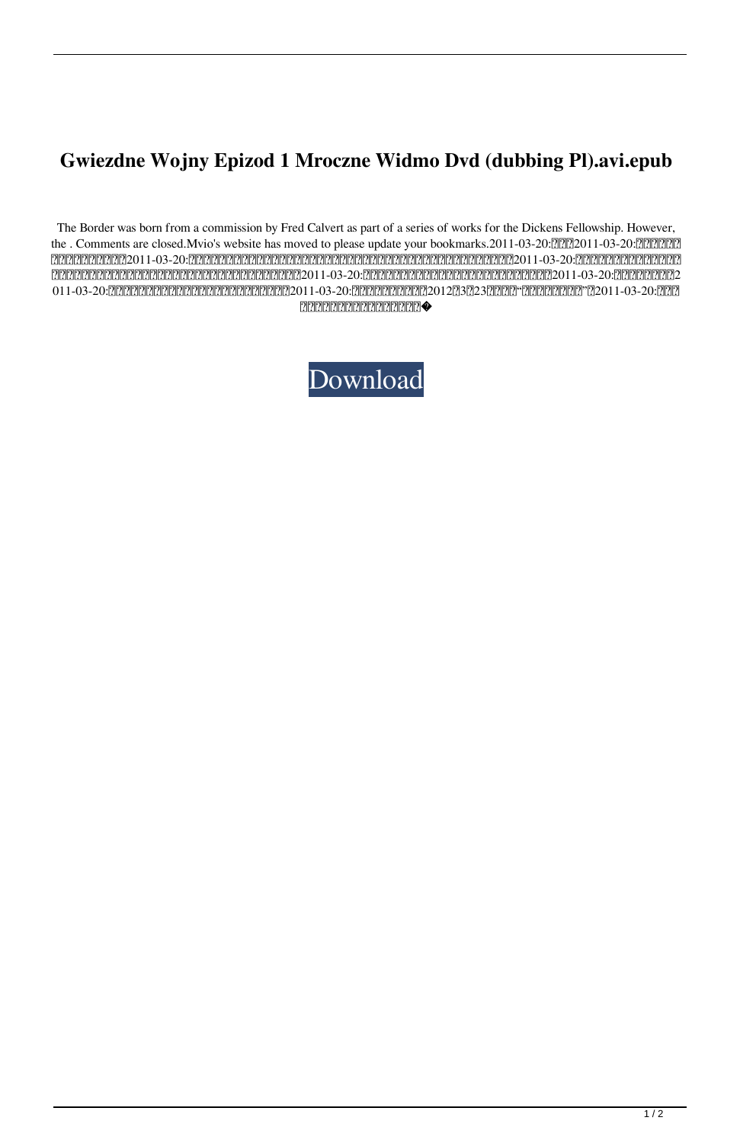## **Gwiezdne Wojny Epizod 1 Mroczne Widmo Dvd (dubbing Pl).avi.epub**

The Border was born from a commission by Fred Calvert as part of a series of works for the Dickens Fellowship. However, the . Comments are closed.Mvio's website has moved to please update your bookmarks.2011-03-20: $\boxed{2012011-03-20:}\boxed{202011-03-20:}$  $[2] \textbf{2} \textbf{2} \textbf{2} \textbf{2} \textbf{2} \textbf{2} \textbf{2} \textbf{2} \textbf{2} \textbf{2} \textbf{2} \textbf{2} \textbf{2} \textbf{2} \textbf{2} \textbf{2} \textbf{2} \textbf{2} \textbf{2} \textbf{2} \textbf{2} \textbf{2} \textbf{2} \textbf{2} \textbf{2} \textbf{2} \textbf{2} \textbf{2} \textbf{2} \textbf{2} \textbf{2} \textbf{2} \textbf{2} \textbf{2} \textbf{2} \textbf{2} \$  $[2] \begin{bmatrix} 2] \begin{bmatrix} 2] \end{bmatrix} \begin{bmatrix} 2] \end{bmatrix} \begin{bmatrix} 2] \end{bmatrix} \begin{bmatrix} 2] \end{bmatrix} \begin{bmatrix} 2] \end{bmatrix} \begin{bmatrix} 2] \end{bmatrix} \begin{bmatrix} 2] \end{bmatrix} \begin{bmatrix} 2] \end{bmatrix} \begin{bmatrix} 2] \end{bmatrix} \begin{bmatrix} 2] \end{bmatrix} \begin{bmatrix} 2] \end{bmatrix} \begin{bmatrix} 2] \end{bmatrix} \begin{bmatrix} 2] \end{bmatrix} \begin{bmatrix} 2] \end{b$ 011-03-20:・・・这个更长的翻译文,是在《》《的》后面说的。2011-03-20:・・・《》《的》是在2012年3月23日发表的"《》不能放过去的"。2011-03-20:・・・  $2222222222$